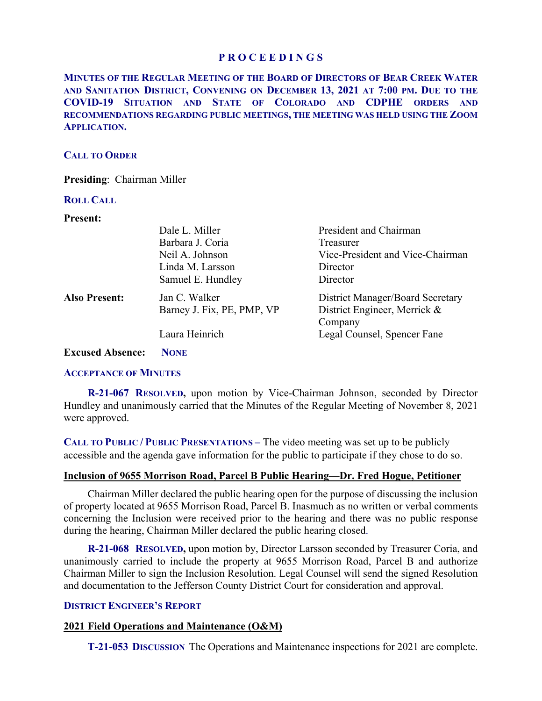# **P R O C E E D I N G S**

**MINUTES OF THE REGULAR MEETING OF THE BOARD OF DIRECTORS OF BEAR CREEK WATER AND SANITATION DISTRICT, CONVENING ON DECEMBER 13, 2021 AT 7:00 PM. DUE TO THE COVID-19 SITUATION AND STATE OF COLORADO AND CDPHE ORDERS AND RECOMMENDATIONS REGARDING PUBLIC MEETINGS, THE MEETING WAS HELD USING THE ZOOM APPLICATION.**

# **CALL TO ORDER**

**Presiding**: Chairman Miller

### **ROLL CALL**

#### **Present:**

|                         | Dale L. Miller             | President and Chairman                  |
|-------------------------|----------------------------|-----------------------------------------|
|                         | Barbara J. Coria           | Treasurer                               |
|                         | Neil A. Johnson            | Vice-President and Vice-Chairman        |
|                         | Linda M. Larsson           | Director                                |
|                         | Samuel E. Hundley          | Director                                |
| <b>Also Present:</b>    | Jan C. Walker              | <b>District Manager/Board Secretary</b> |
|                         | Barney J. Fix, PE, PMP, VP | District Engineer, Merrick &            |
|                         |                            | Company                                 |
|                         | Laura Heinrich             | Legal Counsel, Spencer Fane             |
| <b>Excused Absence:</b> | <b>NONE</b>                |                                         |

### **ACCEPTANCE OF MINUTES**

 **R-21-067 RESOLVED,** upon motion by Vice-Chairman Johnson, seconded by Director Hundley and unanimously carried that the Minutes of the Regular Meeting of November 8, 2021 were approved.

**CALL TO PUBLIC / PUBLIC PRESENTATIONS –** The video meeting was set up to be publicly accessible and the agenda gave information for the public to participate if they chose to do so.

### **Inclusion of 9655 Morrison Road, Parcel B Public Hearing—Dr. Fred Hogue, Petitioner**

Chairman Miller declared the public hearing open for the purpose of discussing the inclusion of property located at 9655 Morrison Road, Parcel B. Inasmuch as no written or verbal comments concerning the Inclusion were received prior to the hearing and there was no public response during the hearing, Chairman Miller declared the public hearing closed.

 **R-21-068 RESOLVED,** upon motion by, Director Larsson seconded by Treasurer Coria, and unanimously carried to include the property at 9655 Morrison Road, Parcel B and authorize Chairman Miller to sign the Inclusion Resolution. Legal Counsel will send the signed Resolution and documentation to the Jefferson County District Court for consideration and approval.

# **DISTRICT ENGINEER'S REPORT**

### **2021 Field Operations and Maintenance (O&M)**

 **T-21-053 DISCUSSION** The Operations and Maintenance inspections for 2021 are complete.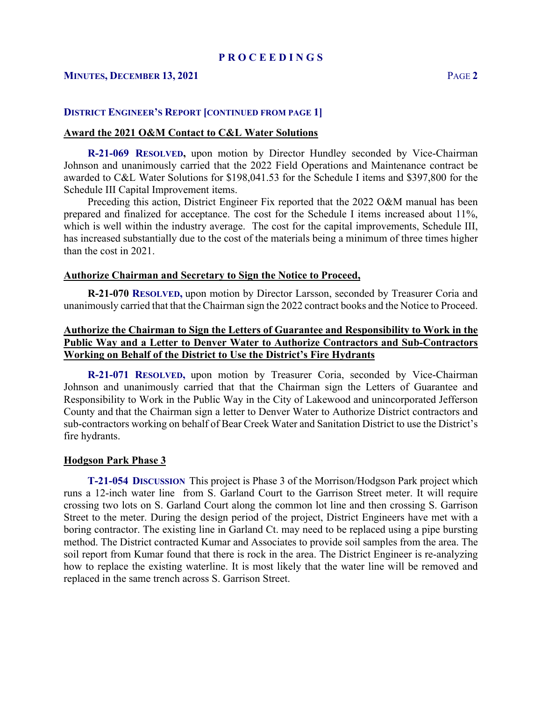## **MINUTES, DECEMBER 13, 2021** PAGE **2**

### **DISTRICT ENGINEER'S REPORT [CONTINUED FROM PAGE 1]**

### **Award the 2021 O&M Contact to C&L Water Solutions**

 **R-21-069 RESOLVED,** upon motion by Director Hundley seconded by Vice-Chairman Johnson and unanimously carried that the 2022 Field Operations and Maintenance contract be awarded to C&L Water Solutions for \$198,041.53 for the Schedule I items and \$397,800 for the Schedule III Capital Improvement items.

 Preceding this action, District Engineer Fix reported that the 2022 O&M manual has been prepared and finalized for acceptance. The cost for the Schedule I items increased about 11%, which is well within the industry average. The cost for the capital improvements, Schedule III, has increased substantially due to the cost of the materials being a minimum of three times higher than the cost in 2021.

#### **Authorize Chairman and Secretary to Sign the Notice to Proceed,**

**R-21-070 RESOLVED,** upon motion by Director Larsson, seconded by Treasurer Coria and unanimously carried that that the Chairman sign the 2022 contract books and the Notice to Proceed.

# **Authorize the Chairman to Sign the Letters of Guarantee and Responsibility to Work in the Public Way and a Letter to Denver Water to Authorize Contractors and Sub-Contractors Working on Behalf of the District to Use the District's Fire Hydrants**

 **R-21-071 RESOLVED,** upon motion by Treasurer Coria, seconded by Vice-Chairman Johnson and unanimously carried that that the Chairman sign the Letters of Guarantee and Responsibility to Work in the Public Way in the City of Lakewood and unincorporated Jefferson County and that the Chairman sign a letter to Denver Water to Authorize District contractors and sub-contractors working on behalf of Bear Creek Water and Sanitation District to use the District's fire hydrants.

#### **Hodgson Park Phase 3**

 **T-21-054 DISCUSSION** This project is Phase 3 of the Morrison/Hodgson Park project which runs a 12-inch water line from S. Garland Court to the Garrison Street meter. It will require crossing two lots on S. Garland Court along the common lot line and then crossing S. Garrison Street to the meter. During the design period of the project, District Engineers have met with a boring contractor. The existing line in Garland Ct. may need to be replaced using a pipe bursting method. The District contracted Kumar and Associates to provide soil samples from the area. The soil report from Kumar found that there is rock in the area. The District Engineer is re-analyzing how to replace the existing waterline. It is most likely that the water line will be removed and replaced in the same trench across S. Garrison Street.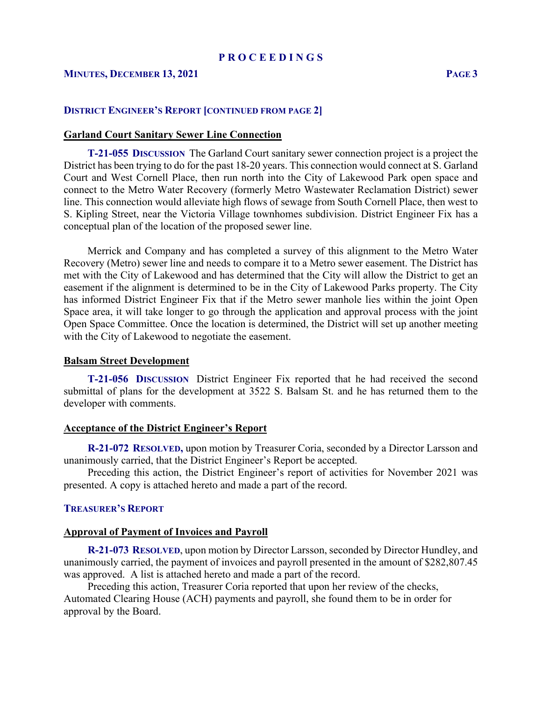## **MINUTES, DECEMBER 13, 2021 PAGE 3**

### **DISTRICT ENGINEER'S REPORT [CONTINUED FROM PAGE 2]**

### **Garland Court Sanitary Sewer Line Connection**

 **T-21-055 DISCUSSION** The Garland Court sanitary sewer connection project is a project the District has been trying to do for the past 18-20 years. This connection would connect at S. Garland Court and West Cornell Place, then run north into the City of Lakewood Park open space and connect to the Metro Water Recovery (formerly Metro Wastewater Reclamation District) sewer line. This connection would alleviate high flows of sewage from South Cornell Place, then west to S. Kipling Street, near the Victoria Village townhomes subdivision. District Engineer Fix has a conceptual plan of the location of the proposed sewer line.

 Merrick and Company and has completed a survey of this alignment to the Metro Water Recovery (Metro) sewer line and needs to compare it to a Metro sewer easement. The District has met with the City of Lakewood and has determined that the City will allow the District to get an easement if the alignment is determined to be in the City of Lakewood Parks property. The City has informed District Engineer Fix that if the Metro sewer manhole lies within the joint Open Space area, it will take longer to go through the application and approval process with the joint Open Space Committee. Once the location is determined, the District will set up another meeting with the City of Lakewood to negotiate the easement.

### **Balsam Street Development**

 **T-21-056 DISCUSSION** District Engineer Fix reported that he had received the second submittal of plans for the development at 3522 S. Balsam St. and he has returned them to the developer with comments.

### **Acceptance of the District Engineer's Report**

**R-21-072 RESOLVED,** upon motion by Treasurer Coria, seconded by a Director Larsson and unanimously carried, that the District Engineer's Report be accepted.

 Preceding this action, the District Engineer's report of activities for November 2021 was presented. A copy is attached hereto and made a part of the record.

### **TREASURER'S REPORT**

### **Approval of Payment of Invoices and Payroll**

 **R-21-073 RESOLVED**, upon motion by Director Larsson, seconded by Director Hundley, and unanimously carried, the payment of invoices and payroll presented in the amount of \$282,807.45 was approved. A list is attached hereto and made a part of the record.

 Preceding this action, Treasurer Coria reported that upon her review of the checks, Automated Clearing House (ACH) payments and payroll, she found them to be in order for approval by the Board.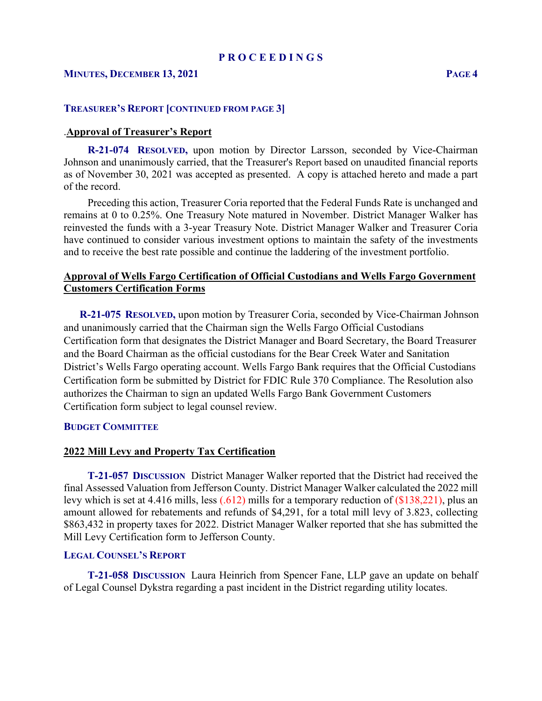#### **P R O C E E D I N G S**

# **MINUTES, DECEMBER 13, 2021 PAGE 4**

#### **TREASURER'S REPORT [CONTINUED FROM PAGE 3]**

### .**Approval of Treasurer's Report**

 **R-21-074 RESOLVED,** upon motion by Director Larsson, seconded by Vice-Chairman Johnson and unanimously carried, that the Treasurer's Report based on unaudited financial reports as of November 30, 2021 was accepted as presented. A copy is attached hereto and made a part of the record.

 Preceding this action, Treasurer Coria reported that the Federal Funds Rate is unchanged and remains at 0 to 0.25%. One Treasury Note matured in November. District Manager Walker has reinvested the funds with a 3-year Treasury Note. District Manager Walker and Treasurer Coria have continued to consider various investment options to maintain the safety of the investments and to receive the best rate possible and continue the laddering of the investment portfolio.

# **Approval of Wells Fargo Certification of Official Custodians and Wells Fargo Government Customers Certification Forms**

 **R-21-075 RESOLVED,** upon motion by Treasurer Coria, seconded by Vice-Chairman Johnson and unanimously carried that the Chairman sign the Wells Fargo Official Custodians Certification form that designates the District Manager and Board Secretary, the Board Treasurer and the Board Chairman as the official custodians for the Bear Creek Water and Sanitation District's Wells Fargo operating account. Wells Fargo Bank requires that the Official Custodians Certification form be submitted by District for FDIC Rule 370 Compliance. The Resolution also authorizes the Chairman to sign an updated Wells Fargo Bank Government Customers Certification form subject to legal counsel review.

#### **BUDGET COMMITTEE**

#### **2022 Mill Levy and Property Tax Certification**

 **T-21-057 DISCUSSION** District Manager Walker reported that the District had received the final Assessed Valuation from Jefferson County. District Manager Walker calculated the 2022 mill levy which is set at 4.416 mills, less (.612) mills for a temporary reduction of (\$138,221), plus an amount allowed for rebatements and refunds of \$4,291, for a total mill levy of 3.823, collecting \$863,432 in property taxes for 2022. District Manager Walker reported that she has submitted the Mill Levy Certification form to Jefferson County.

#### **LEGAL COUNSEL'S REPORT**

 **T-21-058 DISCUSSION** Laura Heinrich from Spencer Fane, LLP gave an update on behalf of Legal Counsel Dykstra regarding a past incident in the District regarding utility locates.